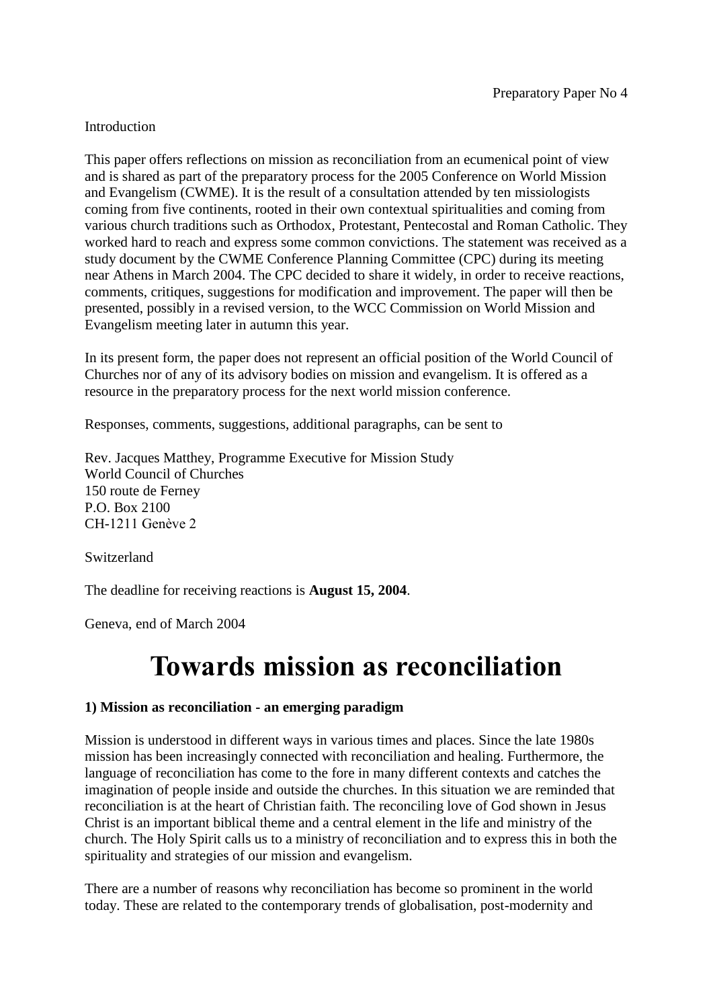## Introduction

This paper offers reflections on mission as reconciliation from an ecumenical point of view and is shared as part of the preparatory process for the 2005 Conference on World Mission and Evangelism (CWME). It is the result of a consultation attended by ten missiologists coming from five continents, rooted in their own contextual spiritualities and coming from various church traditions such as Orthodox, Protestant, Pentecostal and Roman Catholic. They worked hard to reach and express some common convictions. The statement was received as a study document by the CWME Conference Planning Committee (CPC) during its meeting near Athens in March 2004. The CPC decided to share it widely, in order to receive reactions, comments, critiques, suggestions for modification and improvement. The paper will then be presented, possibly in a revised version, to the WCC Commission on World Mission and Evangelism meeting later in autumn this year.

In its present form, the paper does not represent an official position of the World Council of Churches nor of any of its advisory bodies on mission and evangelism. It is offered as a resource in the preparatory process for the next world mission conference.

Responses, comments, suggestions, additional paragraphs, can be sent to

Rev. Jacques Matthey, Programme Executive for Mission Study World Council of Churches 150 route de Ferney P.O. Box 2100 CH-1211 Genève 2

Switzerland

The deadline for receiving reactions is **August 15, 2004**.

Geneva, end of March 2004

# **Towards mission as reconciliation**

#### **1) Mission as reconciliation - an emerging paradigm**

Mission is understood in different ways in various times and places. Since the late 1980s mission has been increasingly connected with reconciliation and healing. Furthermore, the language of reconciliation has come to the fore in many different contexts and catches the imagination of people inside and outside the churches. In this situation we are reminded that reconciliation is at the heart of Christian faith. The reconciling love of God shown in Jesus Christ is an important biblical theme and a central element in the life and ministry of the church. The Holy Spirit calls us to a ministry of reconciliation and to express this in both the spirituality and strategies of our mission and evangelism.

There are a number of reasons why reconciliation has become so prominent in the world today. These are related to the contemporary trends of globalisation, post-modernity and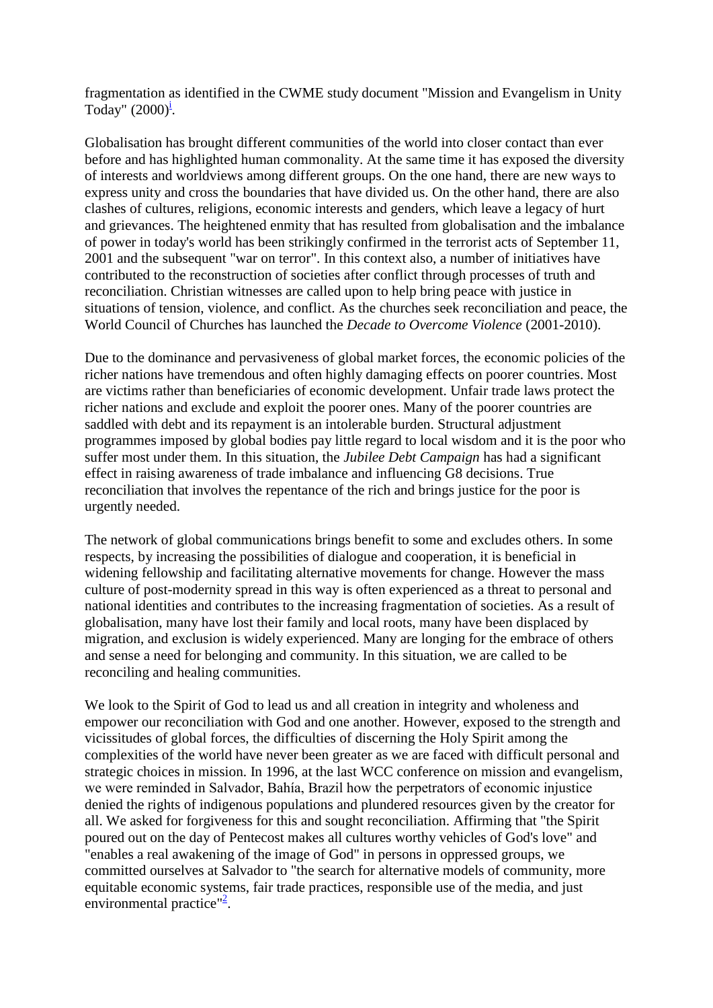fragmentation as identified in the CWME study document "Mission and Evangelism in Unity Today"  $(2000)^{\underline{i}}$ [.](http://archived.oikoumene.org/#sdendnote1sym)

Globalisation has brought different communities of the world into closer contact than ever before and has highlighted human commonality. At the same time it has exposed the diversity of interests and worldviews among different groups. On the one hand, there are new ways to express unity and cross the boundaries that have divided us. On the other hand, there are also clashes of cultures, religions, economic interests and genders, which leave a legacy of hurt and grievances. The heightened enmity that has resulted from globalisation and the imbalance of power in today's world has been strikingly confirmed in the terrorist acts of September 11, 2001 and the subsequent "war on terror". In this context also, a number of initiatives have contributed to the reconstruction of societies after conflict through processes of truth and reconciliation. Christian witnesses are called upon to help bring peace with justice in situations of tension, violence, and conflict. As the churches seek reconciliation and peace, the World Council of Churches has launched the *Decade to Overcome Violence* (2001-2010).

Due to the dominance and pervasiveness of global market forces, the economic policies of the richer nations have tremendous and often highly damaging effects on poorer countries. Most are victims rather than beneficiaries of economic development. Unfair trade laws protect the richer nations and exclude and exploit the poorer ones. Many of the poorer countries are saddled with debt and its repayment is an intolerable burden. Structural adjustment programmes imposed by global bodies pay little regard to local wisdom and it is the poor who suffer most under them. In this situation, the *Jubilee Debt Campaign* has had a significant effect in raising awareness of trade imbalance and influencing G8 decisions. True reconciliation that involves the repentance of the rich and brings justice for the poor is urgently needed.

The network of global communications brings benefit to some and excludes others. In some respects, by increasing the possibilities of dialogue and cooperation, it is beneficial in widening fellowship and facilitating alternative movements for change. However the mass culture of post-modernity spread in this way is often experienced as a threat to personal and national identities and contributes to the increasing fragmentation of societies. As a result of globalisation, many have lost their family and local roots, many have been displaced by migration, and exclusion is widely experienced. Many are longing for the embrace of others and sense a need for belonging and community. In this situation, we are called to be reconciling and healing communities.

We look to the Spirit of God to lead us and all creation in integrity and wholeness and empower our reconciliation with God and one another. However, exposed to the strength and vicissitudes of global forces, the difficulties of discerning the Holy Spirit among the complexities of the world have never been greater as we are faced with difficult personal and strategic choices in mission. In 1996, at the last WCC conference on mission and evangelism, we were reminded in Salvador, Bahía, Brazil how the perpetrators of economic injustice denied the rights of indigenous populations and plundered resources given by the creator for all. We asked for forgiveness for this and sought reconciliation. Affirming that "the Spirit poured out on the day of Pentecost makes all cultures worthy vehicles of God's love" and "enables a real awakening of the image of God" in persons in oppressed groups, we committed ourselves at Salvador to "the search for alternative models of community, more equitable economic systems, fair trade practices, responsible use of the media, and just environmental practice"<sup>[2](http://archived.oikoumene.org/#sdendnote2sym)</sup>.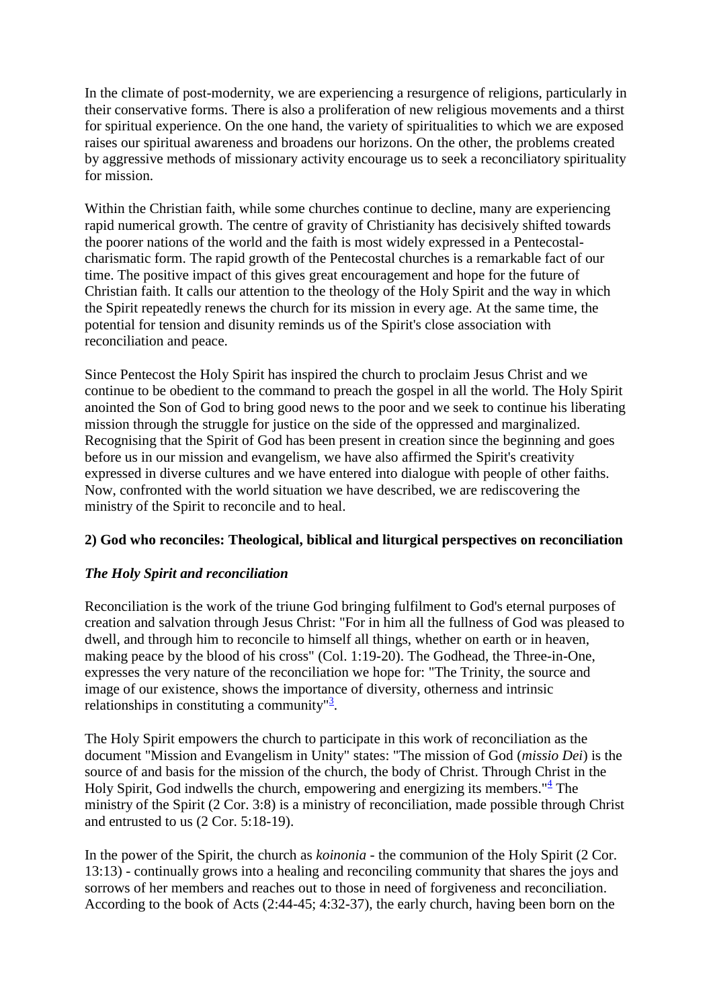In the climate of post-modernity, we are experiencing a resurgence of religions, particularly in their conservative forms. There is also a proliferation of new religious movements and a thirst for spiritual experience. On the one hand, the variety of spiritualities to which we are exposed raises our spiritual awareness and broadens our horizons. On the other, the problems created by aggressive methods of missionary activity encourage us to seek a reconciliatory spirituality for mission.

Within the Christian faith, while some churches continue to decline, many are experiencing rapid numerical growth. The centre of gravity of Christianity has decisively shifted towards the poorer nations of the world and the faith is most widely expressed in a Pentecostalcharismatic form. The rapid growth of the Pentecostal churches is a remarkable fact of our time. The positive impact of this gives great encouragement and hope for the future of Christian faith. It calls our attention to the theology of the Holy Spirit and the way in which the Spirit repeatedly renews the church for its mission in every age. At the same time, the potential for tension and disunity reminds us of the Spirit's close association with reconciliation and peace.

Since Pentecost the Holy Spirit has inspired the church to proclaim Jesus Christ and we continue to be obedient to the command to preach the gospel in all the world. The Holy Spirit anointed the Son of God to bring good news to the poor and we seek to continue his liberating mission through the struggle for justice on the side of the oppressed and marginalized. Recognising that the Spirit of God has been present in creation since the beginning and goes before us in our mission and evangelism, we have also affirmed the Spirit's creativity expressed in diverse cultures and we have entered into dialogue with people of other faiths. Now, confronted with the world situation we have described, we are rediscovering the ministry of the Spirit to reconcile and to heal.

## **2) God who reconciles: Theological, biblical and liturgical perspectives on reconciliation**

## *The Holy Spirit and reconciliation*

Reconciliation is the work of the triune God bringing fulfilment to God's eternal purposes of creation and salvation through Jesus Christ: "For in him all the fullness of God was pleased to dwell, and through him to reconcile to himself all things, whether on earth or in heaven, making peace by the blood of his cross" (Col. 1:19-20). The Godhead, the Three-in-One, expresses the very nature of the reconciliation we hope for: "The Trinity, the source and image of our existence, shows the importance of diversity, otherness and intrinsic relationships in constituting a community"<sup>[3](http://archived.oikoumene.org/#sdendnote3sym)</sup>.

The Holy Spirit empowers the church to participate in this work of reconciliation as the document "Mission and Evangelism in Unity" states: "The mission of God (*missio Dei*) is the source of and basis for the mission of the church, the body of Christ. Through Christ in the Holy Spirit, God indwells the church, empowering and energizing its members." $\frac{4}{7}$  $\frac{4}{7}$  $\frac{4}{7}$  The ministry of the Spirit (2 Cor. 3:8) is a ministry of reconciliation, made possible through Christ and entrusted to us (2 Cor. 5:18-19).

In the power of the Spirit, the church as *koinonia* - the communion of the Holy Spirit (2 Cor. 13:13) - continually grows into a healing and reconciling community that shares the joys and sorrows of her members and reaches out to those in need of forgiveness and reconciliation. According to the book of Acts (2:44-45; 4:32-37), the early church, having been born on the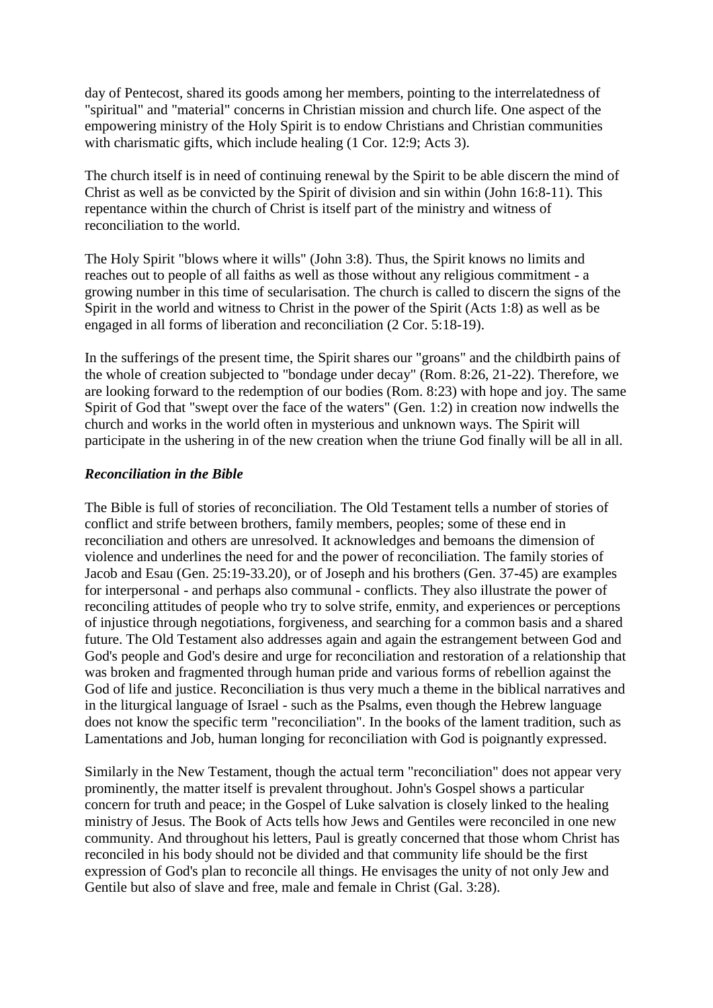day of Pentecost, shared its goods among her members, pointing to the interrelatedness of "spiritual" and "material" concerns in Christian mission and church life. One aspect of the empowering ministry of the Holy Spirit is to endow Christians and Christian communities with charismatic gifts, which include healing (1 Cor. 12:9; Acts 3).

The church itself is in need of continuing renewal by the Spirit to be able discern the mind of Christ as well as be convicted by the Spirit of division and sin within (John 16:8-11). This repentance within the church of Christ is itself part of the ministry and witness of reconciliation to the world.

The Holy Spirit "blows where it wills" (John 3:8). Thus, the Spirit knows no limits and reaches out to people of all faiths as well as those without any religious commitment - a growing number in this time of secularisation. The church is called to discern the signs of the Spirit in the world and witness to Christ in the power of the Spirit (Acts 1:8) as well as be engaged in all forms of liberation and reconciliation (2 Cor. 5:18-19).

In the sufferings of the present time, the Spirit shares our "groans" and the childbirth pains of the whole of creation subjected to "bondage under decay" (Rom. 8:26, 21-22). Therefore, we are looking forward to the redemption of our bodies (Rom. 8:23) with hope and joy. The same Spirit of God that "swept over the face of the waters" (Gen. 1:2) in creation now indwells the church and works in the world often in mysterious and unknown ways. The Spirit will participate in the ushering in of the new creation when the triune God finally will be all in all.

## *Reconciliation in the Bible*

The Bible is full of stories of reconciliation. The Old Testament tells a number of stories of conflict and strife between brothers, family members, peoples; some of these end in reconciliation and others are unresolved. It acknowledges and bemoans the dimension of violence and underlines the need for and the power of reconciliation. The family stories of Jacob and Esau (Gen. 25:19-33.20), or of Joseph and his brothers (Gen. 37-45) are examples for interpersonal - and perhaps also communal - conflicts. They also illustrate the power of reconciling attitudes of people who try to solve strife, enmity, and experiences or perceptions of injustice through negotiations, forgiveness, and searching for a common basis and a shared future. The Old Testament also addresses again and again the estrangement between God and God's people and God's desire and urge for reconciliation and restoration of a relationship that was broken and fragmented through human pride and various forms of rebellion against the God of life and justice. Reconciliation is thus very much a theme in the biblical narratives and in the liturgical language of Israel - such as the Psalms, even though the Hebrew language does not know the specific term "reconciliation". In the books of the lament tradition, such as Lamentations and Job, human longing for reconciliation with God is poignantly expressed.

Similarly in the New Testament, though the actual term "reconciliation" does not appear very prominently, the matter itself is prevalent throughout. John's Gospel shows a particular concern for truth and peace; in the Gospel of Luke salvation is closely linked to the healing ministry of Jesus. The Book of Acts tells how Jews and Gentiles were reconciled in one new community. And throughout his letters, Paul is greatly concerned that those whom Christ has reconciled in his body should not be divided and that community life should be the first expression of God's plan to reconcile all things. He envisages the unity of not only Jew and Gentile but also of slave and free, male and female in Christ (Gal. 3:28).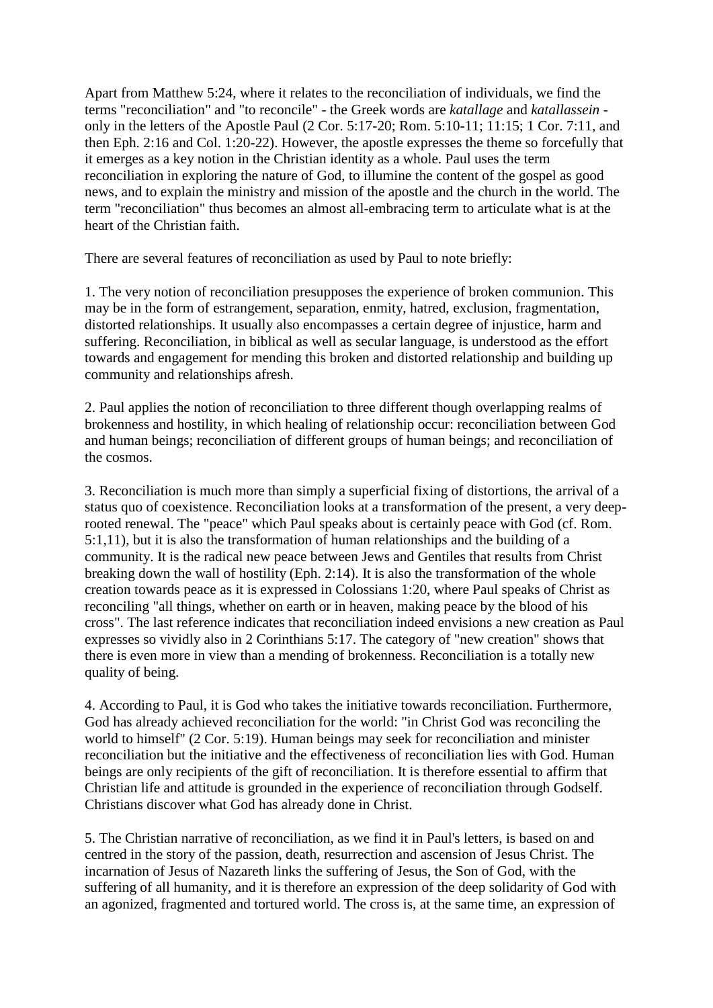Apart from Matthew 5:24, where it relates to the reconciliation of individuals, we find the terms "reconciliation" and "to reconcile" - the Greek words are *katallage* and *katallassein* only in the letters of the Apostle Paul (2 Cor. 5:17-20; Rom. 5:10-11; 11:15; 1 Cor. 7:11, and then Eph. 2:16 and Col. 1:20-22). However, the apostle expresses the theme so forcefully that it emerges as a key notion in the Christian identity as a whole. Paul uses the term reconciliation in exploring the nature of God, to illumine the content of the gospel as good news, and to explain the ministry and mission of the apostle and the church in the world. The term "reconciliation" thus becomes an almost all-embracing term to articulate what is at the heart of the Christian faith.

There are several features of reconciliation as used by Paul to note briefly:

1. The very notion of reconciliation presupposes the experience of broken communion. This may be in the form of estrangement, separation, enmity, hatred, exclusion, fragmentation, distorted relationships. It usually also encompasses a certain degree of injustice, harm and suffering. Reconciliation, in biblical as well as secular language, is understood as the effort towards and engagement for mending this broken and distorted relationship and building up community and relationships afresh.

2. Paul applies the notion of reconciliation to three different though overlapping realms of brokenness and hostility, in which healing of relationship occur: reconciliation between God and human beings; reconciliation of different groups of human beings; and reconciliation of the cosmos.

3. Reconciliation is much more than simply a superficial fixing of distortions, the arrival of a status quo of coexistence. Reconciliation looks at a transformation of the present, a very deeprooted renewal. The "peace" which Paul speaks about is certainly peace with God (cf. Rom. 5:1,11), but it is also the transformation of human relationships and the building of a community. It is the radical new peace between Jews and Gentiles that results from Christ breaking down the wall of hostility (Eph. 2:14). It is also the transformation of the whole creation towards peace as it is expressed in Colossians 1:20, where Paul speaks of Christ as reconciling "all things, whether on earth or in heaven, making peace by the blood of his cross". The last reference indicates that reconciliation indeed envisions a new creation as Paul expresses so vividly also in 2 Corinthians 5:17. The category of "new creation" shows that there is even more in view than a mending of brokenness. Reconciliation is a totally new quality of being.

4. According to Paul, it is God who takes the initiative towards reconciliation. Furthermore, God has already achieved reconciliation for the world: "in Christ God was reconciling the world to himself" (2 Cor. 5:19). Human beings may seek for reconciliation and minister reconciliation but the initiative and the effectiveness of reconciliation lies with God. Human beings are only recipients of the gift of reconciliation. It is therefore essential to affirm that Christian life and attitude is grounded in the experience of reconciliation through Godself. Christians discover what God has already done in Christ.

5. The Christian narrative of reconciliation, as we find it in Paul's letters, is based on and centred in the story of the passion, death, resurrection and ascension of Jesus Christ. The incarnation of Jesus of Nazareth links the suffering of Jesus, the Son of God, with the suffering of all humanity, and it is therefore an expression of the deep solidarity of God with an agonized, fragmented and tortured world. The cross is, at the same time, an expression of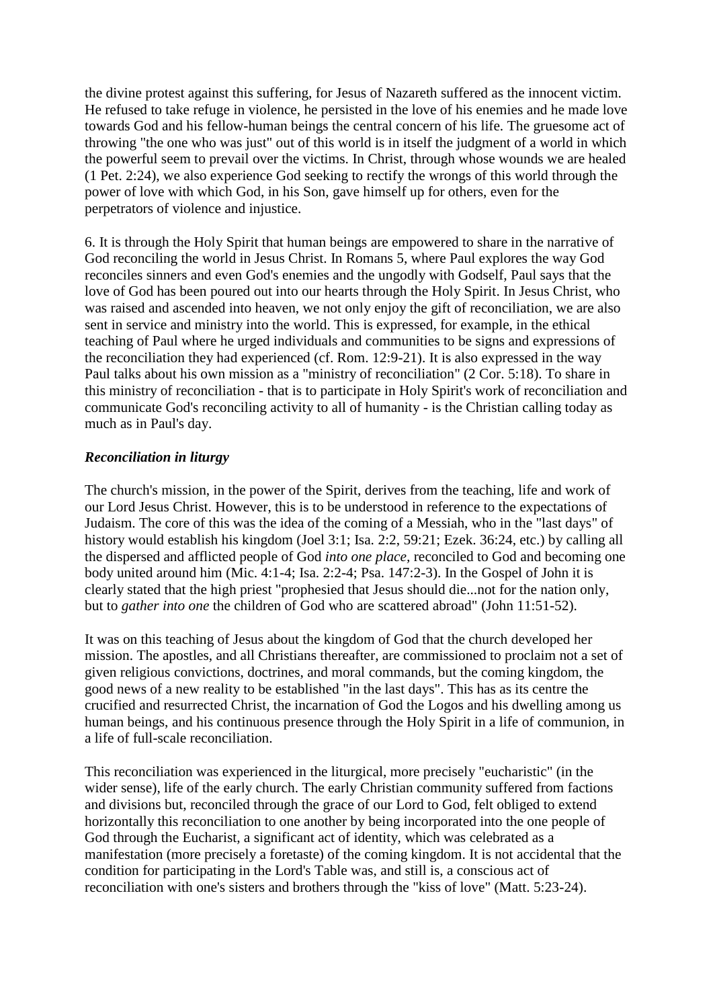the divine protest against this suffering, for Jesus of Nazareth suffered as the innocent victim. He refused to take refuge in violence, he persisted in the love of his enemies and he made love towards God and his fellow-human beings the central concern of his life. The gruesome act of throwing "the one who was just" out of this world is in itself the judgment of a world in which the powerful seem to prevail over the victims. In Christ, through whose wounds we are healed (1 Pet. 2:24), we also experience God seeking to rectify the wrongs of this world through the power of love with which God, in his Son, gave himself up for others, even for the perpetrators of violence and injustice.

6. It is through the Holy Spirit that human beings are empowered to share in the narrative of God reconciling the world in Jesus Christ. In Romans 5, where Paul explores the way God reconciles sinners and even God's enemies and the ungodly with Godself, Paul says that the love of God has been poured out into our hearts through the Holy Spirit. In Jesus Christ, who was raised and ascended into heaven, we not only enjoy the gift of reconciliation, we are also sent in service and ministry into the world. This is expressed, for example, in the ethical teaching of Paul where he urged individuals and communities to be signs and expressions of the reconciliation they had experienced (cf. Rom. 12:9-21). It is also expressed in the way Paul talks about his own mission as a "ministry of reconciliation" (2 Cor. 5:18). To share in this ministry of reconciliation - that is to participate in Holy Spirit's work of reconciliation and communicate God's reconciling activity to all of humanity - is the Christian calling today as much as in Paul's day.

## *Reconciliation in liturgy*

The church's mission, in the power of the Spirit, derives from the teaching, life and work of our Lord Jesus Christ. However, this is to be understood in reference to the expectations of Judaism. The core of this was the idea of the coming of a Messiah, who in the "last days" of history would establish his kingdom (Joel 3:1; Isa. 2:2, 59:21; Ezek. 36:24, etc.) by calling all the dispersed and afflicted people of God *into one place,* reconciled to God and becoming one body united around him (Mic. 4:1-4; Isa. 2:2-4; Psa. 147:2-3). In the Gospel of John it is clearly stated that the high priest "prophesied that Jesus should die...not for the nation only, but to *gather into one* the children of God who are scattered abroad" (John 11:51-52).

It was on this teaching of Jesus about the kingdom of God that the church developed her mission. The apostles, and all Christians thereafter, are commissioned to proclaim not a set of given religious convictions, doctrines, and moral commands, but the coming kingdom, the good news of a new reality to be established "in the last days". This has as its centre the crucified and resurrected Christ, the incarnation of God the Logos and his dwelling among us human beings, and his continuous presence through the Holy Spirit in a life of communion, in a life of full-scale reconciliation.

This reconciliation was experienced in the liturgical, more precisely "eucharistic" (in the wider sense), life of the early church. The early Christian community suffered from factions and divisions but, reconciled through the grace of our Lord to God, felt obliged to extend horizontally this reconciliation to one another by being incorporated into the one people of God through the Eucharist, a significant act of identity, which was celebrated as a manifestation (more precisely a foretaste) of the coming kingdom. It is not accidental that the condition for participating in the Lord's Table was, and still is, a conscious act of reconciliation with one's sisters and brothers through the "kiss of love" (Matt. 5:23-24).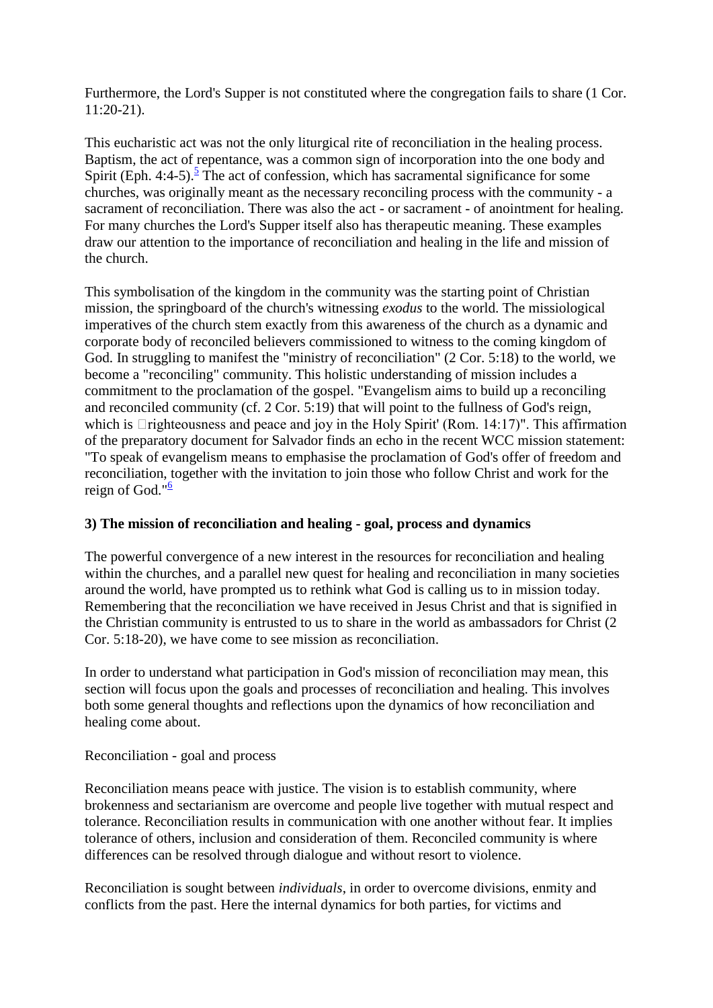Furthermore, the Lord's Supper is not constituted where the congregation fails to share (1 Cor. 11:20-21).

This eucharistic act was not the only liturgical rite of reconciliation in the healing process. Baptism, the act of repentance, was a common sign of incorporation into the one body and Spirit (Eph. 4:4-[5](http://archived.oikoumene.org/#sdendnote5sym)).<sup>5</sup> The act of confession, which has sacramental significance for some churches, was originally meant as the necessary reconciling process with the community - a sacrament of reconciliation. There was also the act - or sacrament - of anointment for healing. For many churches the Lord's Supper itself also has therapeutic meaning. These examples draw our attention to the importance of reconciliation and healing in the life and mission of the church.

This symbolisation of the kingdom in the community was the starting point of Christian mission, the springboard of the church's witnessing *exodus* to the world. The missiological imperatives of the church stem exactly from this awareness of the church as a dynamic and corporate body of reconciled believers commissioned to witness to the coming kingdom of God. In struggling to manifest the "ministry of reconciliation" (2 Cor. 5:18) to the world, we become a "reconciling" community. This holistic understanding of mission includes a commitment to the proclamation of the gospel. "Evangelism aims to build up a reconciling and reconciled community (cf. 2 Cor. 5:19) that will point to the fullness of God's reign, which is  $\Box$ righteousness and peace and joy in the Holy Spirit' (Rom. 14:17)". This affirmation of the preparatory document for Salvador finds an echo in the recent WCC mission statement: "To speak of evangelism means to emphasise the proclamation of God's offer of freedom and reconciliation, together with the invitation to join those who follow Christ and work for the reign of God." $6$ 

## **3) The mission of reconciliation and healing - goal, process and dynamics**

The powerful convergence of a new interest in the resources for reconciliation and healing within the churches, and a parallel new quest for healing and reconciliation in many societies around the world, have prompted us to rethink what God is calling us to in mission today. Remembering that the reconciliation we have received in Jesus Christ and that is signified in the Christian community is entrusted to us to share in the world as ambassadors for Christ (2 Cor. 5:18-20), we have come to see mission as reconciliation.

In order to understand what participation in God's mission of reconciliation may mean, this section will focus upon the goals and processes of reconciliation and healing. This involves both some general thoughts and reflections upon the dynamics of how reconciliation and healing come about.

## Reconciliation - goal and process

Reconciliation means peace with justice. The vision is to establish community, where brokenness and sectarianism are overcome and people live together with mutual respect and tolerance. Reconciliation results in communication with one another without fear. It implies tolerance of others, inclusion and consideration of them. Reconciled community is where differences can be resolved through dialogue and without resort to violence.

Reconciliation is sought between *individuals*, in order to overcome divisions, enmity and conflicts from the past. Here the internal dynamics for both parties, for victims and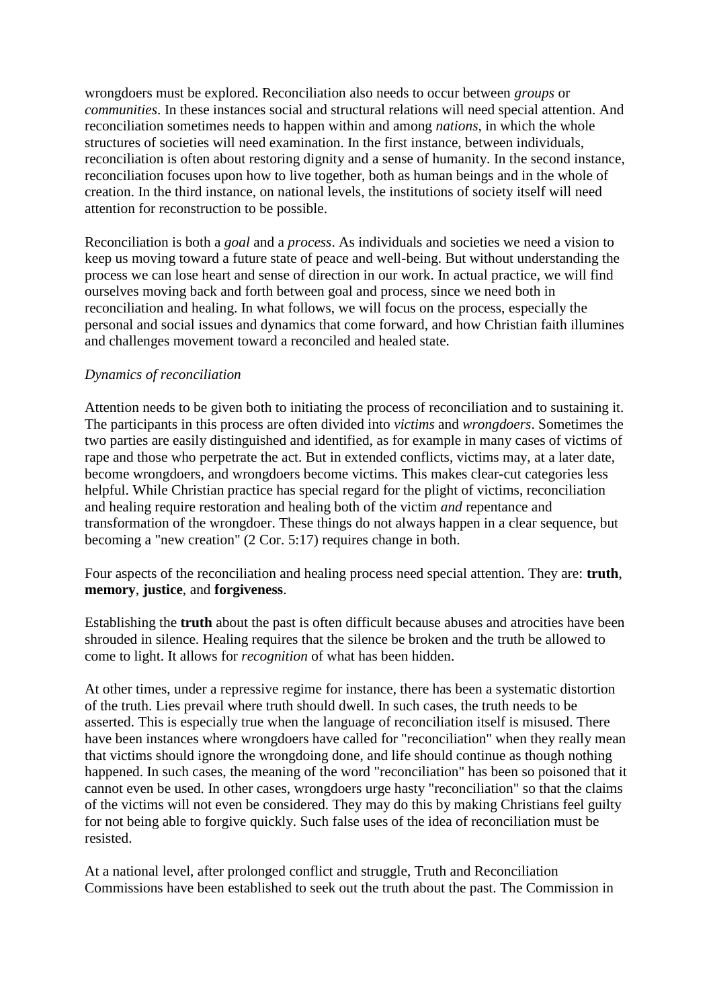wrongdoers must be explored. Reconciliation also needs to occur between *groups* or *communities*. In these instances social and structural relations will need special attention. And reconciliation sometimes needs to happen within and among *nations*, in which the whole structures of societies will need examination. In the first instance, between individuals, reconciliation is often about restoring dignity and a sense of humanity. In the second instance, reconciliation focuses upon how to live together, both as human beings and in the whole of creation. In the third instance, on national levels, the institutions of society itself will need attention for reconstruction to be possible.

Reconciliation is both a *goal* and a *process*. As individuals and societies we need a vision to keep us moving toward a future state of peace and well-being. But without understanding the process we can lose heart and sense of direction in our work. In actual practice, we will find ourselves moving back and forth between goal and process, since we need both in reconciliation and healing. In what follows, we will focus on the process, especially the personal and social issues and dynamics that come forward, and how Christian faith illumines and challenges movement toward a reconciled and healed state.

## *Dynamics of reconciliation*

Attention needs to be given both to initiating the process of reconciliation and to sustaining it. The participants in this process are often divided into *victims* and *wrongdoers*. Sometimes the two parties are easily distinguished and identified, as for example in many cases of victims of rape and those who perpetrate the act. But in extended conflicts, victims may, at a later date, become wrongdoers, and wrongdoers become victims. This makes clear-cut categories less helpful. While Christian practice has special regard for the plight of victims, reconciliation and healing require restoration and healing both of the victim *and* repentance and transformation of the wrongdoer. These things do not always happen in a clear sequence, but becoming a "new creation" (2 Cor. 5:17) requires change in both.

Four aspects of the reconciliation and healing process need special attention. They are: **truth**, **memory**, **justice**, and **forgiveness**.

Establishing the **truth** about the past is often difficult because abuses and atrocities have been shrouded in silence. Healing requires that the silence be broken and the truth be allowed to come to light. It allows for *recognition* of what has been hidden.

At other times, under a repressive regime for instance, there has been a systematic distortion of the truth. Lies prevail where truth should dwell. In such cases, the truth needs to be asserted. This is especially true when the language of reconciliation itself is misused. There have been instances where wrongdoers have called for "reconciliation" when they really mean that victims should ignore the wrongdoing done, and life should continue as though nothing happened. In such cases, the meaning of the word "reconciliation" has been so poisoned that it cannot even be used. In other cases, wrongdoers urge hasty "reconciliation" so that the claims of the victims will not even be considered. They may do this by making Christians feel guilty for not being able to forgive quickly. Such false uses of the idea of reconciliation must be resisted.

At a national level, after prolonged conflict and struggle, Truth and Reconciliation Commissions have been established to seek out the truth about the past. The Commission in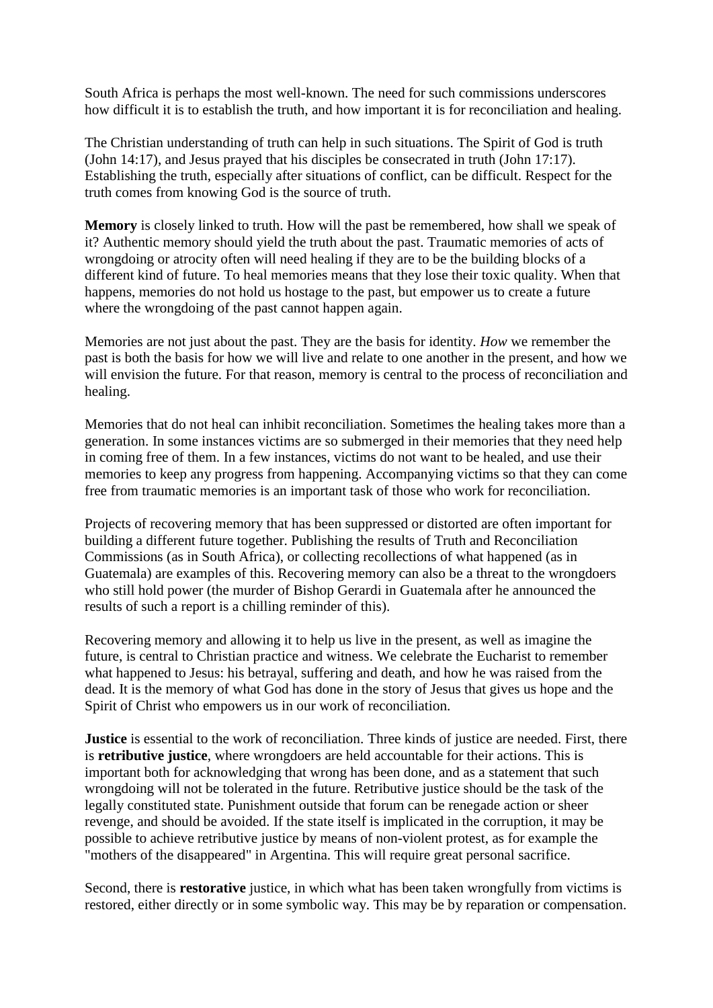South Africa is perhaps the most well-known. The need for such commissions underscores how difficult it is to establish the truth, and how important it is for reconciliation and healing.

The Christian understanding of truth can help in such situations. The Spirit of God is truth (John 14:17), and Jesus prayed that his disciples be consecrated in truth (John 17:17). Establishing the truth, especially after situations of conflict, can be difficult. Respect for the truth comes from knowing God is the source of truth.

**Memory** is closely linked to truth. How will the past be remembered, how shall we speak of it? Authentic memory should yield the truth about the past. Traumatic memories of acts of wrongdoing or atrocity often will need healing if they are to be the building blocks of a different kind of future. To heal memories means that they lose their toxic quality. When that happens, memories do not hold us hostage to the past, but empower us to create a future where the wrongdoing of the past cannot happen again.

Memories are not just about the past. They are the basis for identity. *How* we remember the past is both the basis for how we will live and relate to one another in the present, and how we will envision the future. For that reason, memory is central to the process of reconciliation and healing.

Memories that do not heal can inhibit reconciliation. Sometimes the healing takes more than a generation. In some instances victims are so submerged in their memories that they need help in coming free of them. In a few instances, victims do not want to be healed, and use their memories to keep any progress from happening. Accompanying victims so that they can come free from traumatic memories is an important task of those who work for reconciliation.

Projects of recovering memory that has been suppressed or distorted are often important for building a different future together. Publishing the results of Truth and Reconciliation Commissions (as in South Africa), or collecting recollections of what happened (as in Guatemala) are examples of this. Recovering memory can also be a threat to the wrongdoers who still hold power (the murder of Bishop Gerardi in Guatemala after he announced the results of such a report is a chilling reminder of this).

Recovering memory and allowing it to help us live in the present, as well as imagine the future, is central to Christian practice and witness. We celebrate the Eucharist to remember what happened to Jesus: his betrayal, suffering and death, and how he was raised from the dead. It is the memory of what God has done in the story of Jesus that gives us hope and the Spirit of Christ who empowers us in our work of reconciliation.

**Justice** is essential to the work of reconciliation. Three kinds of justice are needed. First, there is **retributive justice**, where wrongdoers are held accountable for their actions. This is important both for acknowledging that wrong has been done, and as a statement that such wrongdoing will not be tolerated in the future. Retributive justice should be the task of the legally constituted state. Punishment outside that forum can be renegade action or sheer revenge, and should be avoided. If the state itself is implicated in the corruption, it may be possible to achieve retributive justice by means of non-violent protest, as for example the "mothers of the disappeared" in Argentina. This will require great personal sacrifice.

Second, there is **restorative** justice, in which what has been taken wrongfully from victims is restored, either directly or in some symbolic way. This may be by reparation or compensation.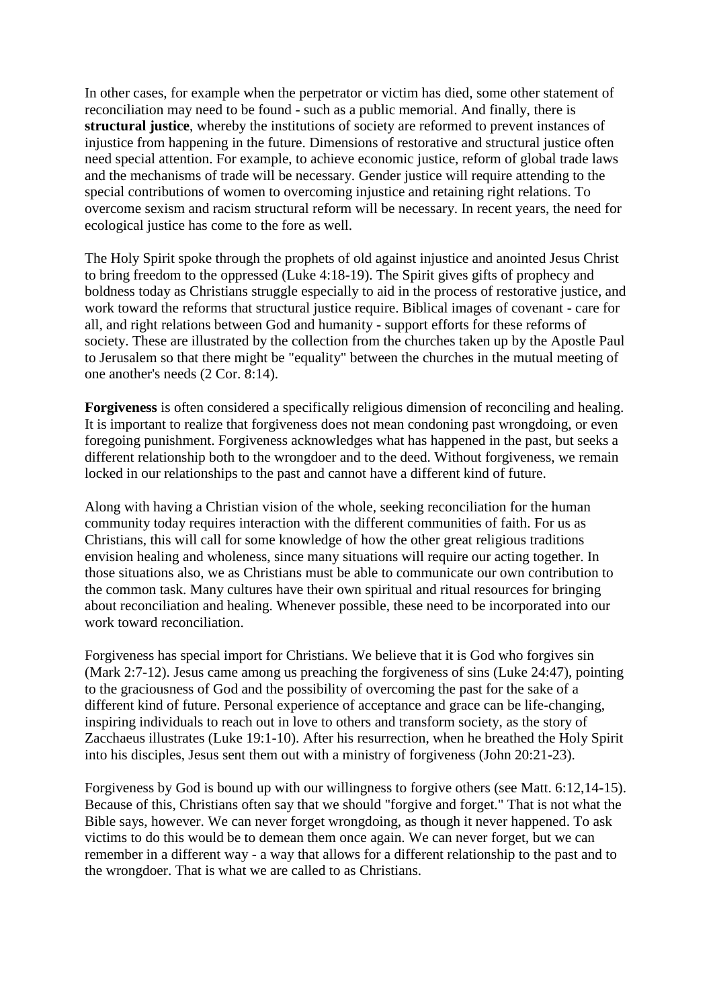In other cases, for example when the perpetrator or victim has died, some other statement of reconciliation may need to be found - such as a public memorial. And finally, there is **structural justice**, whereby the institutions of society are reformed to prevent instances of injustice from happening in the future. Dimensions of restorative and structural justice often need special attention. For example, to achieve economic justice, reform of global trade laws and the mechanisms of trade will be necessary. Gender justice will require attending to the special contributions of women to overcoming injustice and retaining right relations. To overcome sexism and racism structural reform will be necessary. In recent years, the need for ecological justice has come to the fore as well.

The Holy Spirit spoke through the prophets of old against injustice and anointed Jesus Christ to bring freedom to the oppressed (Luke 4:18-19). The Spirit gives gifts of prophecy and boldness today as Christians struggle especially to aid in the process of restorative justice, and work toward the reforms that structural justice require. Biblical images of covenant - care for all, and right relations between God and humanity - support efforts for these reforms of society. These are illustrated by the collection from the churches taken up by the Apostle Paul to Jerusalem so that there might be "equality" between the churches in the mutual meeting of one another's needs (2 Cor. 8:14).

**Forgiveness** is often considered a specifically religious dimension of reconciling and healing. It is important to realize that forgiveness does not mean condoning past wrongdoing, or even foregoing punishment. Forgiveness acknowledges what has happened in the past, but seeks a different relationship both to the wrongdoer and to the deed. Without forgiveness, we remain locked in our relationships to the past and cannot have a different kind of future.

Along with having a Christian vision of the whole, seeking reconciliation for the human community today requires interaction with the different communities of faith. For us as Christians, this will call for some knowledge of how the other great religious traditions envision healing and wholeness, since many situations will require our acting together. In those situations also, we as Christians must be able to communicate our own contribution to the common task. Many cultures have their own spiritual and ritual resources for bringing about reconciliation and healing. Whenever possible, these need to be incorporated into our work toward reconciliation.

Forgiveness has special import for Christians. We believe that it is God who forgives sin (Mark 2:7-12). Jesus came among us preaching the forgiveness of sins (Luke 24:47), pointing to the graciousness of God and the possibility of overcoming the past for the sake of a different kind of future. Personal experience of acceptance and grace can be life-changing, inspiring individuals to reach out in love to others and transform society, as the story of Zacchaeus illustrates (Luke 19:1-10). After his resurrection, when he breathed the Holy Spirit into his disciples, Jesus sent them out with a ministry of forgiveness (John 20:21-23).

Forgiveness by God is bound up with our willingness to forgive others (see Matt. 6:12,14-15). Because of this, Christians often say that we should "forgive and forget." That is not what the Bible says, however. We can never forget wrongdoing, as though it never happened. To ask victims to do this would be to demean them once again. We can never forget, but we can remember in a different way - a way that allows for a different relationship to the past and to the wrongdoer. That is what we are called to as Christians.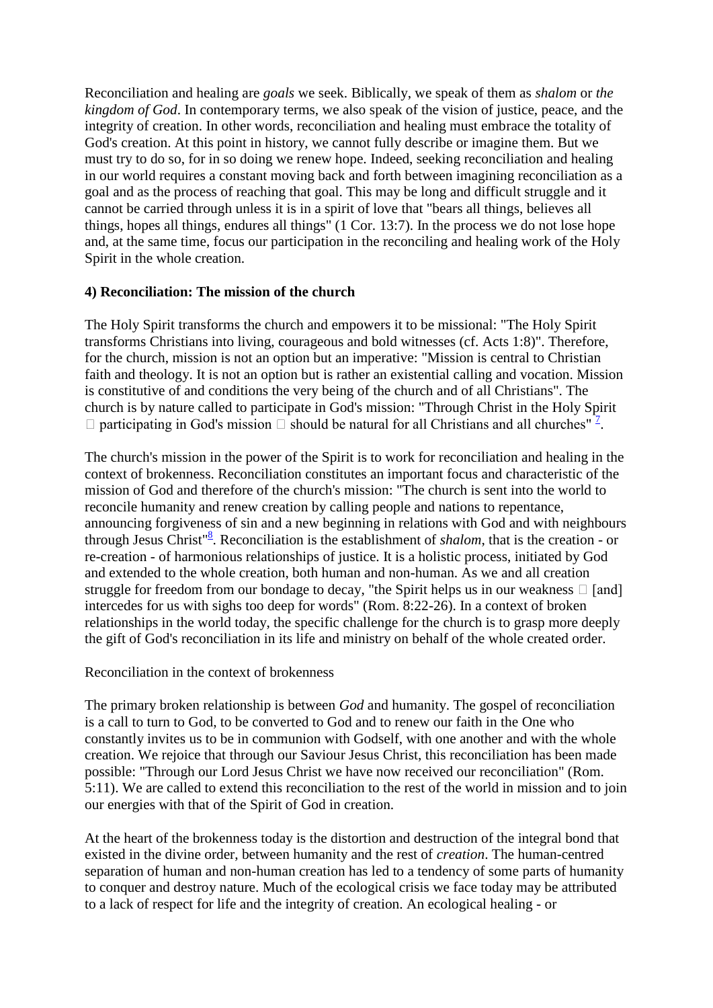Reconciliation and healing are *goals* we seek. Biblically, we speak of them as *shalom* or *the kingdom of God*. In contemporary terms, we also speak of the vision of justice, peace, and the integrity of creation. In other words, reconciliation and healing must embrace the totality of God's creation. At this point in history, we cannot fully describe or imagine them. But we must try to do so, for in so doing we renew hope. Indeed, seeking reconciliation and healing in our world requires a constant moving back and forth between imagining reconciliation as a goal and as the process of reaching that goal. This may be long and difficult struggle and it cannot be carried through unless it is in a spirit of love that "bears all things, believes all things, hopes all things, endures all things" (1 Cor. 13:7). In the process we do not lose hope and, at the same time, focus our participation in the reconciling and healing work of the Holy Spirit in the whole creation.

## **4) Reconciliation: The mission of the church**

The Holy Spirit transforms the church and empowers it to be missional: "The Holy Spirit transforms Christians into living, courageous and bold witnesses (cf. Acts 1:8)". Therefore, for the church, mission is not an option but an imperative: "Mission is central to Christian faith and theology. It is not an option but is rather an existential calling and vocation. Mission is constitutive of and conditions the very being of the church and of all Christians". The church is by nature called to participate in God's mission: "Through Christ in the Holy Spirit  $\Box$  participating in God's mission  $\Box$  should be natural for all Christians and all churches"<sup>7</sup>[.](http://archived.oikoumene.org/#sdendnote7sym)

The church's mission in the power of the Spirit is to work for reconciliation and healing in the context of brokenness. Reconciliation constitutes an important focus and characteristic of the mission of God and therefore of the church's mission: "The church is sent into the world to reconcile humanity and renew creation by calling people and nations to repentance, announcing forgiveness of sin and a new beginning in relations with God and with neighbours through Jesus Christ<sup>"[8](http://archived.oikoumene.org/#sdendnote8sym)</sup>. Reconciliation is the establishment of *shalom*, that is the creation - or re-creation - of harmonious relationships of justice. It is a holistic process, initiated by God and extended to the whole creation, both human and non-human. As we and all creation struggle for freedom from our bondage to decay, "the Spirit helps us in our weakness  $\Box$  [and] intercedes for us with sighs too deep for words" (Rom. 8:22-26). In a context of broken relationships in the world today, the specific challenge for the church is to grasp more deeply the gift of God's reconciliation in its life and ministry on behalf of the whole created order.

Reconciliation in the context of brokenness

The primary broken relationship is between *God* and humanity. The gospel of reconciliation is a call to turn to God, to be converted to God and to renew our faith in the One who constantly invites us to be in communion with Godself, with one another and with the whole creation. We rejoice that through our Saviour Jesus Christ, this reconciliation has been made possible: "Through our Lord Jesus Christ we have now received our reconciliation" (Rom. 5:11). We are called to extend this reconciliation to the rest of the world in mission and to join our energies with that of the Spirit of God in creation.

At the heart of the brokenness today is the distortion and destruction of the integral bond that existed in the divine order, between humanity and the rest of *creation*. The human-centred separation of human and non-human creation has led to a tendency of some parts of humanity to conquer and destroy nature. Much of the ecological crisis we face today may be attributed to a lack of respect for life and the integrity of creation. An ecological healing - or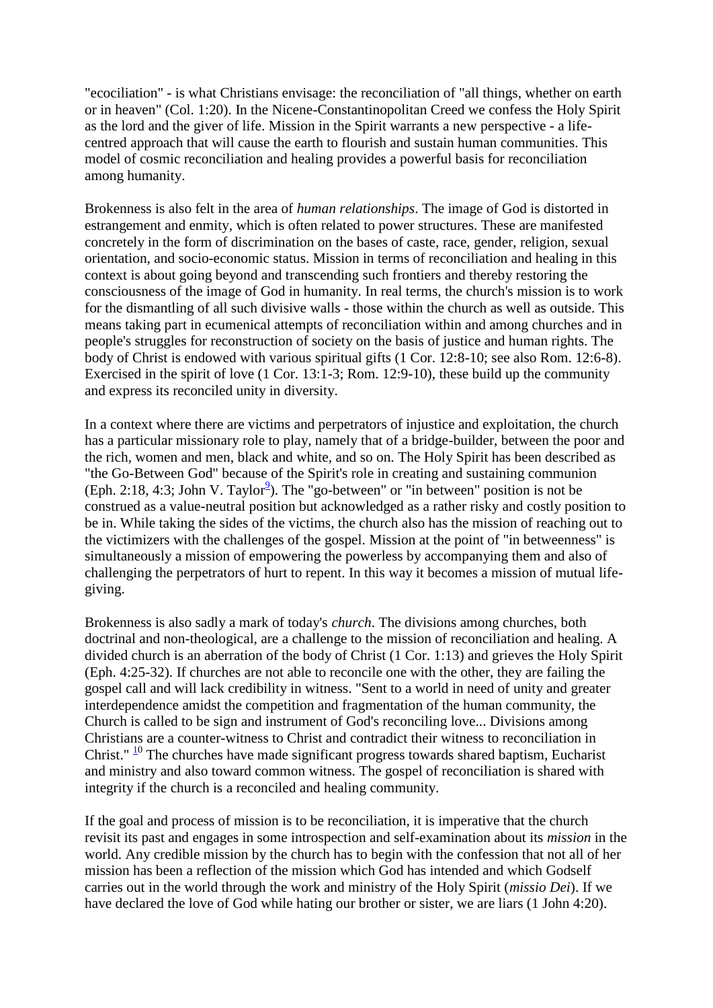"ecociliation" - is what Christians envisage: the reconciliation of "all things, whether on earth or in heaven" (Col. 1:20). In the Nicene-Constantinopolitan Creed we confess the Holy Spirit as the lord and the giver of life. Mission in the Spirit warrants a new perspective - a lifecentred approach that will cause the earth to flourish and sustain human communities. This model of cosmic reconciliation and healing provides a powerful basis for reconciliation among humanity.

Brokenness is also felt in the area of *human relationships*. The image of God is distorted in estrangement and enmity, which is often related to power structures. These are manifested concretely in the form of discrimination on the bases of caste, race, gender, religion, sexual orientation, and socio-economic status. Mission in terms of reconciliation and healing in this context is about going beyond and transcending such frontiers and thereby restoring the consciousness of the image of God in humanity. In real terms, the church's mission is to work for the dismantling of all such divisive walls - those within the church as well as outside. This means taking part in ecumenical attempts of reconciliation within and among churches and in people's struggles for reconstruction of society on the basis of justice and human rights. The body of Christ is endowed with various spiritual gifts (1 Cor. 12:8-10; see also Rom. 12:6-8). Exercised in the spirit of love (1 Cor. 13:1-3; Rom. 12:9-10), these build up the community and express its reconciled unity in diversity.

In a context where there are victims and perpetrators of injustice and exploitation, the church has a particular missionary role to play, namely that of a bridge-builder, between the poor and the rich, women and men, black and white, and so on. The Holy Spirit has been described as "the Go-Between God" because of the Spirit's role in creating and sustaining communion  $(Eph. 2:18, 4:3; John V. Taylor<sup>9</sup>). The "go-between" or "in between" position is not be$  $(Eph. 2:18, 4:3; John V. Taylor<sup>9</sup>). The "go-between" or "in between" position is not be$  $(Eph. 2:18, 4:3; John V. Taylor<sup>9</sup>). The "go-between" or "in between" position is not be$ construed as a value-neutral position but acknowledged as a rather risky and costly position to be in. While taking the sides of the victims, the church also has the mission of reaching out to the victimizers with the challenges of the gospel. Mission at the point of "in betweenness" is simultaneously a mission of empowering the powerless by accompanying them and also of challenging the perpetrators of hurt to repent. In this way it becomes a mission of mutual lifegiving.

Brokenness is also sadly a mark of today's *church*. The divisions among churches, both doctrinal and non-theological, are a challenge to the mission of reconciliation and healing. A divided church is an aberration of the body of Christ (1 Cor. 1:13) and grieves the Holy Spirit (Eph. 4:25-32). If churches are not able to reconcile one with the other, they are failing the gospel call and will lack credibility in witness. "Sent to a world in need of unity and greater interdependence amidst the competition and fragmentation of the human community, the Church is called to be sign and instrument of God's reconciling love... Divisions among Christians are a counter-witness to Christ and contradict their witness to reconciliation in Christ."  $\frac{10}{10}$  $\frac{10}{10}$  $\frac{10}{10}$  The churches have made significant progress towards shared baptism, Eucharist and ministry and also toward common witness. The gospel of reconciliation is shared with integrity if the church is a reconciled and healing community.

If the goal and process of mission is to be reconciliation, it is imperative that the church revisit its past and engages in some introspection and self-examination about its *mission* in the world. Any credible mission by the church has to begin with the confession that not all of her mission has been a reflection of the mission which God has intended and which Godself carries out in the world through the work and ministry of the Holy Spirit (*missio Dei*). If we have declared the love of God while hating our brother or sister, we are liars (1 John 4:20).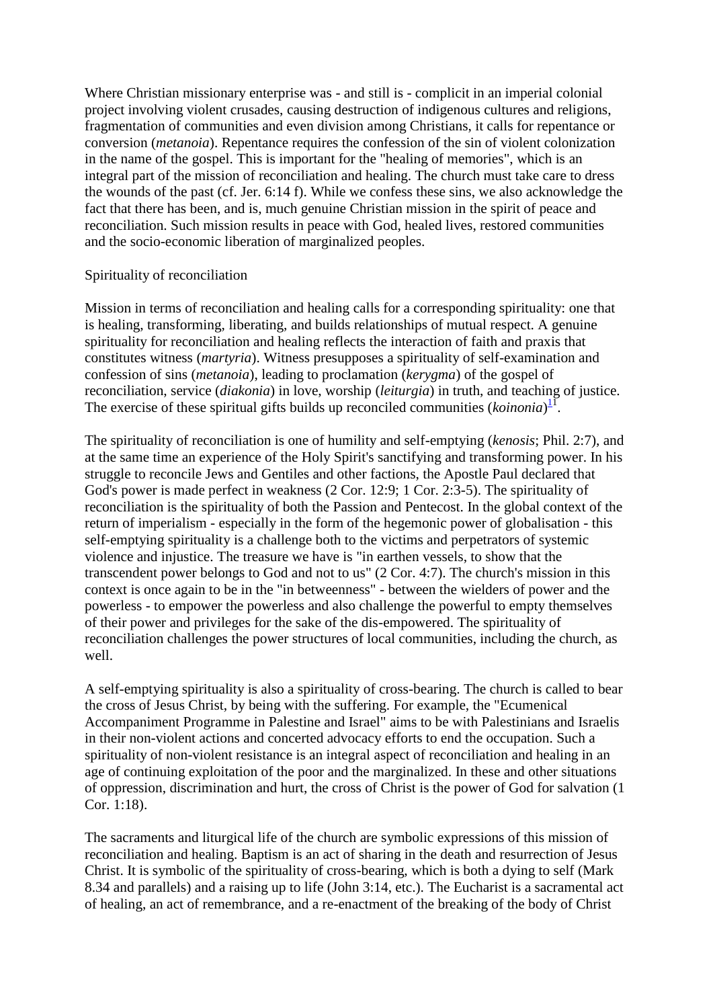Where Christian missionary enterprise was - and still is - complicit in an imperial colonial project involving violent crusades, causing destruction of indigenous cultures and religions, fragmentation of communities and even division among Christians, it calls for repentance or conversion (*metanoia*). Repentance requires the confession of the sin of violent colonization in the name of the gospel. This is important for the "healing of memories", which is an integral part of the mission of reconciliation and healing. The church must take care to dress the wounds of the past (cf. Jer. 6:14 f). While we confess these sins, we also acknowledge the fact that there has been, and is, much genuine Christian mission in the spirit of peace and reconciliation. Such mission results in peace with God, healed lives, restored communities and the socio-economic liberation of marginalized peoples.

#### Spirituality of reconciliation

Mission in terms of reconciliation and healing calls for a corresponding spirituality: one that is healing, transforming, liberating, and builds relationships of mutual respect. A genuine spirituality for reconciliation and healing reflects the interaction of faith and praxis that constitutes witness (*martyria*). Witness presupposes a spirituality of self-examination and confession of sins (*metanoia*), leading to proclamation (*kerygma*) of the gospel of reconciliation, service (*diakonia*) in love, worship (*leiturgia*) in truth, and teaching of justice. The exercise of these spiritual gifts builds up reconciled communities (*koinonia*)<sup>[11](http://archived.oikoumene.org/#sdendnote11sym)</sup>.

The spirituality of reconciliation is one of humility and self-emptying (*kenosis*; Phil. 2:7), and at the same time an experience of the Holy Spirit's sanctifying and transforming power. In his struggle to reconcile Jews and Gentiles and other factions, the Apostle Paul declared that God's power is made perfect in weakness (2 Cor. 12:9; 1 Cor. 2:3-5). The spirituality of reconciliation is the spirituality of both the Passion and Pentecost. In the global context of the return of imperialism - especially in the form of the hegemonic power of globalisation - this self-emptying spirituality is a challenge both to the victims and perpetrators of systemic violence and injustice. The treasure we have is "in earthen vessels, to show that the transcendent power belongs to God and not to us" (2 Cor. 4:7). The church's mission in this context is once again to be in the "in betweenness" - between the wielders of power and the powerless - to empower the powerless and also challenge the powerful to empty themselves of their power and privileges for the sake of the dis-empowered. The spirituality of reconciliation challenges the power structures of local communities, including the church, as well.

A self-emptying spirituality is also a spirituality of cross-bearing. The church is called to bear the cross of Jesus Christ, by being with the suffering. For example, the "Ecumenical Accompaniment Programme in Palestine and Israel" aims to be with Palestinians and Israelis in their non-violent actions and concerted advocacy efforts to end the occupation. Such a spirituality of non-violent resistance is an integral aspect of reconciliation and healing in an age of continuing exploitation of the poor and the marginalized. In these and other situations of oppression, discrimination and hurt, the cross of Christ is the power of God for salvation (1 Cor. 1:18).

The sacraments and liturgical life of the church are symbolic expressions of this mission of reconciliation and healing. Baptism is an act of sharing in the death and resurrection of Jesus Christ. It is symbolic of the spirituality of cross-bearing, which is both a dying to self (Mark 8.34 and parallels) and a raising up to life (John 3:14, etc.). The Eucharist is a sacramental act of healing, an act of remembrance, and a re-enactment of the breaking of the body of Christ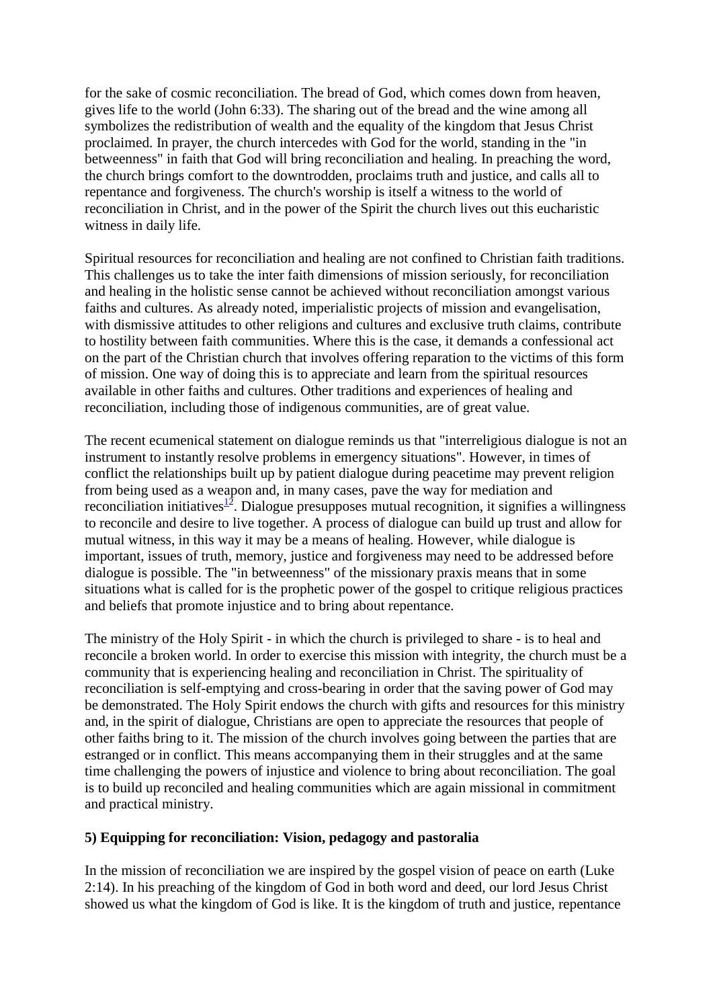for the sake of cosmic reconciliation. The bread of God, which comes down from heaven, gives life to the world (John 6:33). The sharing out of the bread and the wine among all symbolizes the redistribution of wealth and the equality of the kingdom that Jesus Christ proclaimed. In prayer, the church intercedes with God for the world, standing in the "in betweenness" in faith that God will bring reconciliation and healing. In preaching the word, the church brings comfort to the downtrodden, proclaims truth and justice, and calls all to repentance and forgiveness. The church's worship is itself a witness to the world of reconciliation in Christ, and in the power of the Spirit the church lives out this eucharistic witness in daily life.

Spiritual resources for reconciliation and healing are not confined to Christian faith traditions. This challenges us to take the inter faith dimensions of mission seriously, for reconciliation and healing in the holistic sense cannot be achieved without reconciliation amongst various faiths and cultures. As already noted, imperialistic projects of mission and evangelisation, with dismissive attitudes to other religions and cultures and exclusive truth claims, contribute to hostility between faith communities. Where this is the case, it demands a confessional act on the part of the Christian church that involves offering reparation to the victims of this form of mission. One way of doing this is to appreciate and learn from the spiritual resources available in other faiths and cultures. Other traditions and experiences of healing and reconciliation, including those of indigenous communities, are of great value.

The recent ecumenical statement on dialogue reminds us that "interreligious dialogue is not an instrument to instantly resolve problems in emergency situations". However, in times of conflict the relationships built up by patient dialogue during peacetime may prevent religion from being used as a weapon and, in many cases, pave the way for mediation and reconciliation initiatives $1^2$ . Dialogue presupposes mutual recognition, it signifies a willingness to reconcile and desire to live together. A process of dialogue can build up trust and allow for mutual witness, in this way it may be a means of healing. However, while dialogue is important, issues of truth, memory, justice and forgiveness may need to be addressed before dialogue is possible. The "in betweenness" of the missionary praxis means that in some situations what is called for is the prophetic power of the gospel to critique religious practices and beliefs that promote injustice and to bring about repentance.

The ministry of the Holy Spirit - in which the church is privileged to share - is to heal and reconcile a broken world. In order to exercise this mission with integrity, the church must be a community that is experiencing healing and reconciliation in Christ. The spirituality of reconciliation is self-emptying and cross-bearing in order that the saving power of God may be demonstrated. The Holy Spirit endows the church with gifts and resources for this ministry and, in the spirit of dialogue, Christians are open to appreciate the resources that people of other faiths bring to it. The mission of the church involves going between the parties that are estranged or in conflict. This means accompanying them in their struggles and at the same time challenging the powers of injustice and violence to bring about reconciliation. The goal is to build up reconciled and healing communities which are again missional in commitment and practical ministry.

## **5) Equipping for reconciliation: Vision, pedagogy and pastoralia**

In the mission of reconciliation we are inspired by the gospel vision of peace on earth (Luke 2:14). In his preaching of the kingdom of God in both word and deed, our lord Jesus Christ showed us what the kingdom of God is like. It is the kingdom of truth and justice, repentance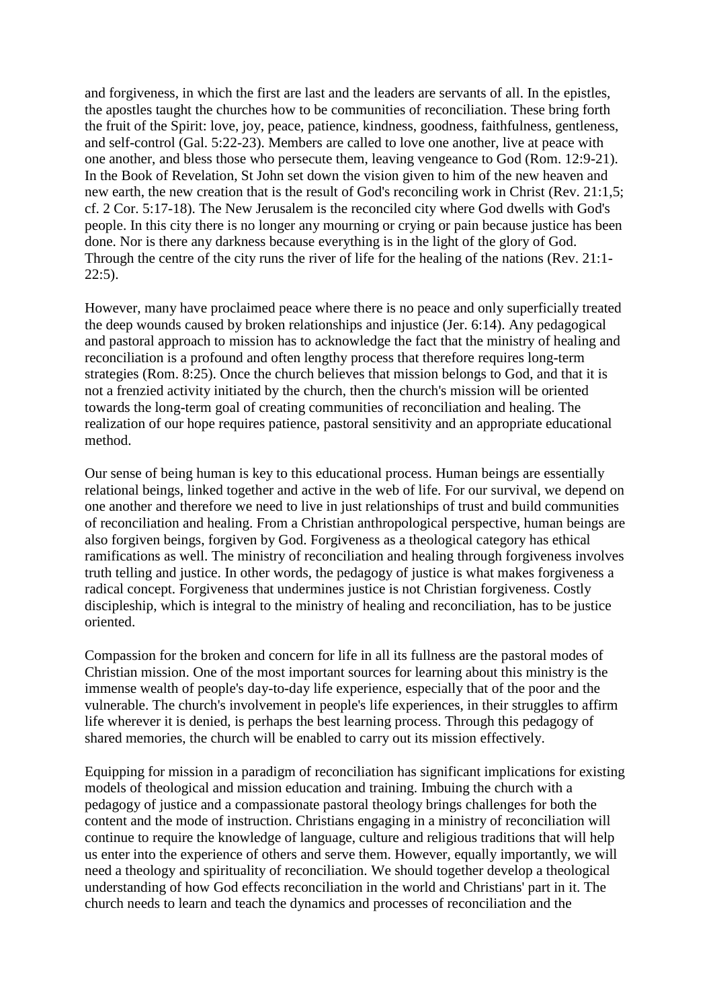and forgiveness, in which the first are last and the leaders are servants of all. In the epistles, the apostles taught the churches how to be communities of reconciliation. These bring forth the fruit of the Spirit: love, joy, peace, patience, kindness, goodness, faithfulness, gentleness, and self-control (Gal. 5:22-23). Members are called to love one another, live at peace with one another, and bless those who persecute them, leaving vengeance to God (Rom. 12:9-21). In the Book of Revelation, St John set down the vision given to him of the new heaven and new earth, the new creation that is the result of God's reconciling work in Christ (Rev. 21:1,5; cf. 2 Cor. 5:17-18). The New Jerusalem is the reconciled city where God dwells with God's people. In this city there is no longer any mourning or crying or pain because justice has been done. Nor is there any darkness because everything is in the light of the glory of God. Through the centre of the city runs the river of life for the healing of the nations (Rev. 21:1- 22:5).

However, many have proclaimed peace where there is no peace and only superficially treated the deep wounds caused by broken relationships and injustice (Jer. 6:14). Any pedagogical and pastoral approach to mission has to acknowledge the fact that the ministry of healing and reconciliation is a profound and often lengthy process that therefore requires long-term strategies (Rom. 8:25). Once the church believes that mission belongs to God, and that it is not a frenzied activity initiated by the church, then the church's mission will be oriented towards the long-term goal of creating communities of reconciliation and healing. The realization of our hope requires patience, pastoral sensitivity and an appropriate educational method.

Our sense of being human is key to this educational process. Human beings are essentially relational beings, linked together and active in the web of life. For our survival, we depend on one another and therefore we need to live in just relationships of trust and build communities of reconciliation and healing. From a Christian anthropological perspective, human beings are also forgiven beings, forgiven by God. Forgiveness as a theological category has ethical ramifications as well. The ministry of reconciliation and healing through forgiveness involves truth telling and justice. In other words, the pedagogy of justice is what makes forgiveness a radical concept. Forgiveness that undermines justice is not Christian forgiveness. Costly discipleship, which is integral to the ministry of healing and reconciliation, has to be justice oriented.

Compassion for the broken and concern for life in all its fullness are the pastoral modes of Christian mission. One of the most important sources for learning about this ministry is the immense wealth of people's day-to-day life experience, especially that of the poor and the vulnerable. The church's involvement in people's life experiences, in their struggles to affirm life wherever it is denied, is perhaps the best learning process. Through this pedagogy of shared memories, the church will be enabled to carry out its mission effectively.

Equipping for mission in a paradigm of reconciliation has significant implications for existing models of theological and mission education and training. Imbuing the church with a pedagogy of justice and a compassionate pastoral theology brings challenges for both the content and the mode of instruction. Christians engaging in a ministry of reconciliation will continue to require the knowledge of language, culture and religious traditions that will help us enter into the experience of others and serve them. However, equally importantly, we will need a theology and spirituality of reconciliation. We should together develop a theological understanding of how God effects reconciliation in the world and Christians' part in it. The church needs to learn and teach the dynamics and processes of reconciliation and the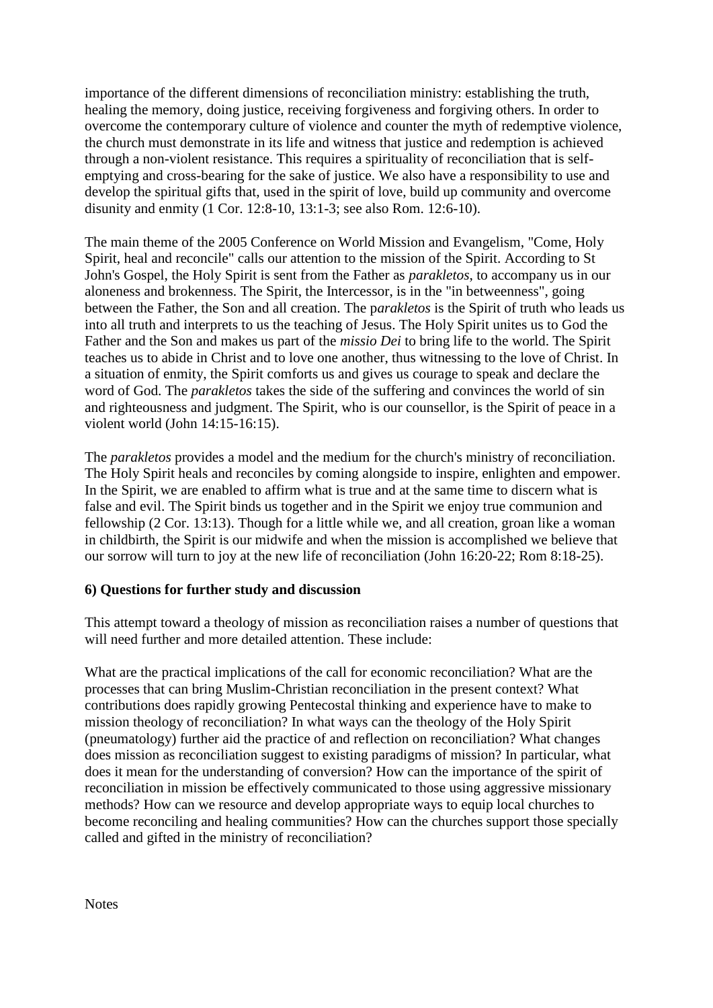importance of the different dimensions of reconciliation ministry: establishing the truth, healing the memory, doing justice, receiving forgiveness and forgiving others. In order to overcome the contemporary culture of violence and counter the myth of redemptive violence, the church must demonstrate in its life and witness that justice and redemption is achieved through a non-violent resistance. This requires a spirituality of reconciliation that is selfemptying and cross-bearing for the sake of justice. We also have a responsibility to use and develop the spiritual gifts that, used in the spirit of love, build up community and overcome disunity and enmity (1 Cor. 12:8-10, 13:1-3; see also Rom. 12:6-10).

The main theme of the 2005 Conference on World Mission and Evangelism, "Come, Holy Spirit, heal and reconcile" calls our attention to the mission of the Spirit. According to St John's Gospel, the Holy Spirit is sent from the Father as *parakletos*, to accompany us in our aloneness and brokenness. The Spirit, the Intercessor, is in the "in betweenness", going between the Father, the Son and all creation. The p*arakletos* is the Spirit of truth who leads us into all truth and interprets to us the teaching of Jesus. The Holy Spirit unites us to God the Father and the Son and makes us part of the *missio Dei* to bring life to the world. The Spirit teaches us to abide in Christ and to love one another, thus witnessing to the love of Christ. In a situation of enmity, the Spirit comforts us and gives us courage to speak and declare the word of God. The *parakletos* takes the side of the suffering and convinces the world of sin and righteousness and judgment. The Spirit, who is our counsellor, is the Spirit of peace in a violent world (John 14:15-16:15).

The *parakletos* provides a model and the medium for the church's ministry of reconciliation. The Holy Spirit heals and reconciles by coming alongside to inspire, enlighten and empower. In the Spirit, we are enabled to affirm what is true and at the same time to discern what is false and evil. The Spirit binds us together and in the Spirit we enjoy true communion and fellowship (2 Cor. 13:13). Though for a little while we, and all creation, groan like a woman in childbirth, the Spirit is our midwife and when the mission is accomplished we believe that our sorrow will turn to joy at the new life of reconciliation (John 16:20-22; Rom 8:18-25).

## **6) Questions for further study and discussion**

This attempt toward a theology of mission as reconciliation raises a number of questions that will need further and more detailed attention. These include:

What are the practical implications of the call for economic reconciliation? What are the processes that can bring Muslim-Christian reconciliation in the present context? What contributions does rapidly growing Pentecostal thinking and experience have to make to mission theology of reconciliation? In what ways can the theology of the Holy Spirit (pneumatology) further aid the practice of and reflection on reconciliation? What changes does mission as reconciliation suggest to existing paradigms of mission? In particular, what does it mean for the understanding of conversion? How can the importance of the spirit of reconciliation in mission be effectively communicated to those using aggressive missionary methods? How can we resource and develop appropriate ways to equip local churches to become reconciling and healing communities? How can the churches support those specially called and gifted in the ministry of reconciliation?